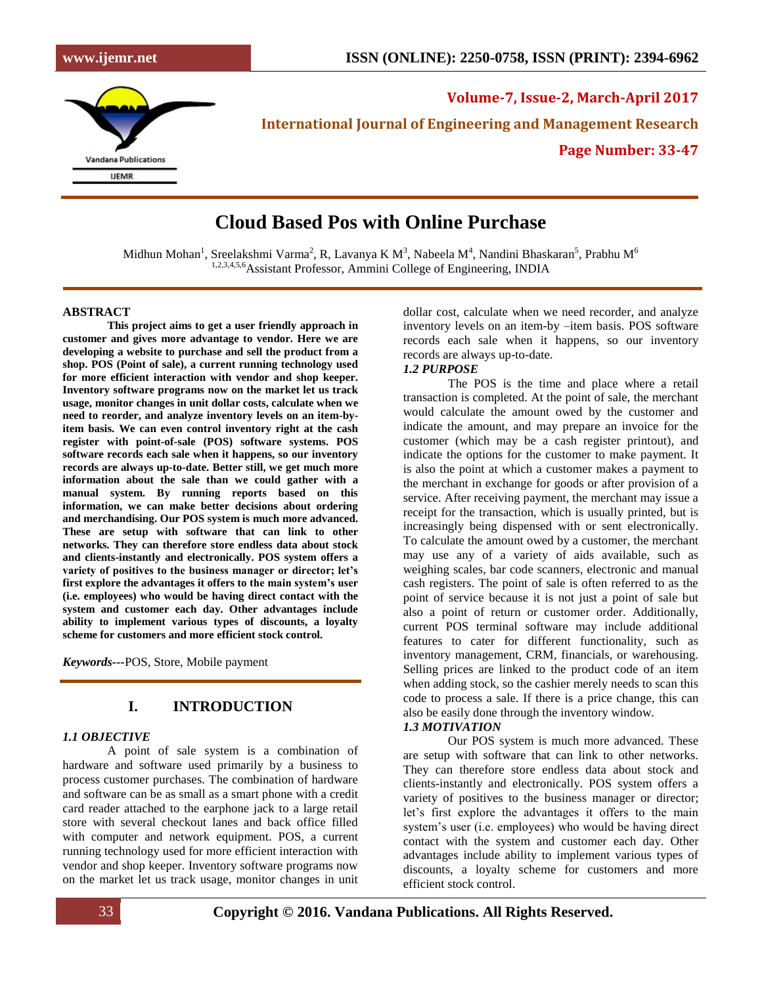

**Volume-7, Issue-2, March-April 2017 International Journal of Engineering and Management Research Page Number: 33-47**

# **Cloud Based Pos with Online Purchase**

Midhun Mohan<sup>1</sup>, Sreelakshmi Varma<sup>2</sup>, R, Lavanya K M<sup>3</sup>, Nabeela M<sup>4</sup>, Nandini Bhaskaran<sup>5</sup>, Prabhu M<sup>6</sup> 1,2,3,4,5,6Assistant Professor, Ammini College of Engineering, INDIA

#### **ABSTRACT**

**This project aims to get a user friendly approach in customer and gives more advantage to vendor. Here we are developing a website to purchase and sell the product from a shop. POS (Point of sale), a current running technology used for more efficient interaction with vendor and shop keeper. Inventory software programs now on the market let us track usage, monitor changes in unit dollar costs, calculate when we need to reorder, and analyze inventory levels on an item-byitem basis. We can even control inventory right at the cash register with point-of-sale (POS) software systems. POS software records each sale when it happens, so our inventory records are always up-to-date. Better still, we get much more information about the sale than we could gather with a manual system. By running reports based on this information, we can make better decisions about ordering and merchandising. Our POS system is much more advanced. These are setup with software that can link to other networks. They can therefore store endless data about stock and clients-instantly and electronically. POS system offers a variety of positives to the business manager or director; let's first explore the advantages it offers to the main system's user (i.e. employees) who would be having direct contact with the system and customer each day. Other advantages include ability to implement various types of discounts, a loyalty scheme for customers and more efficient stock control.**

*Keywords---*POS, Store, Mobile payment

# **I. INTRODUCTION**

#### *1.1 OBJECTIVE*

A point of sale system is a combination of hardware and software used primarily by a business to process customer purchases. The combination of hardware and software can be as small as a smart phone with a credit card reader attached to the earphone jack to a large retail store with several checkout lanes and back office filled with computer and network equipment. POS, a current running technology used for more efficient interaction with vendor and shop keeper. Inventory software programs now on the market let us track usage, monitor changes in unit dollar cost, calculate when we need recorder, and analyze inventory levels on an item-by –item basis. POS software records each sale when it happens, so our inventory records are always up-to-date.

# *1.2 PURPOSE*

The POS is the time and place where a retail transaction is completed. At the point of sale, the merchant would calculate the amount owed by the customer and indicate the amount, and may prepare an invoice for the customer (which may be a cash register printout), and indicate the options for the customer to make payment. It is also the point at which a customer makes a payment to the merchant in exchange for goods or after provision of a service. After receiving payment, the merchant may issue a receipt for the transaction, which is usually printed, but is increasingly being dispensed with or sent electronically. To calculate the amount owed by a customer, the merchant may use any of a variety of aids available, such as weighing scales, bar code scanners, electronic and manual cash registers. The point of sale is often referred to as the point of service because it is not just a point of sale but also a point of return or customer order. Additionally, current POS terminal software may include additional features to cater for different functionality, such as inventory management, CRM, financials, or warehousing. Selling prices are linked to the product code of an item when adding stock, so the cashier merely needs to scan this code to process a sale. If there is a price change, this can also be easily done through the inventory window.

#### *1.3 MOTIVATION*

Our POS system is much more advanced. These are setup with software that can link to other networks. They can therefore store endless data about stock and clients-instantly and electronically. POS system offers a variety of positives to the business manager or director; let's first explore the advantages it offers to the main system's user (i.e. employees) who would be having direct contact with the system and customer each day. Other advantages include ability to implement various types of discounts, a loyalty scheme for customers and more efficient stock control.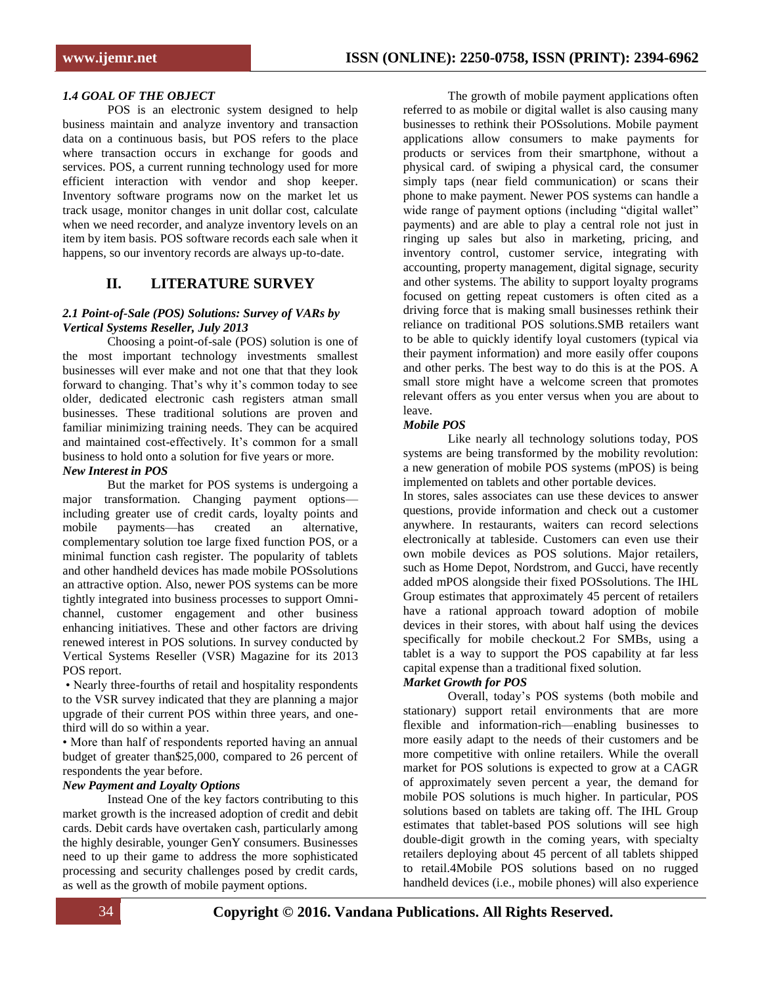# *1.4 GOAL OF THE OBJECT*

POS is an electronic system designed to help business maintain and analyze inventory and transaction data on a continuous basis, but POS refers to the place where transaction occurs in exchange for goods and services. POS, a current running technology used for more efficient interaction with vendor and shop keeper. Inventory software programs now on the market let us track usage, monitor changes in unit dollar cost, calculate when we need recorder, and analyze inventory levels on an item by item basis. POS software records each sale when it happens, so our inventory records are always up-to-date.

# **II. LITERATURE SURVEY**

#### *2.1 Point-of-Sale (POS) Solutions: Survey of VARs by Vertical Systems Reseller, July 2013*

Choosing a point-of-sale (POS) solution is one of the most important technology investments smallest businesses will ever make and not one that that they look forward to changing. That's why it's common today to see older, dedicated electronic cash registers atman small businesses. These traditional solutions are proven and familiar minimizing training needs. They can be acquired and maintained cost-effectively. It's common for a small business to hold onto a solution for five years or more.

#### *New Interest in POS*

But the market for POS systems is undergoing a major transformation. Changing payment options including greater use of credit cards, loyalty points and mobile payments—has created an alternative, complementary solution toe large fixed function POS, or a minimal function cash register. The popularity of tablets and other handheld devices has made mobile POSsolutions an attractive option. Also, newer POS systems can be more tightly integrated into business processes to support Omnichannel, customer engagement and other business enhancing initiatives. These and other factors are driving renewed interest in POS solutions. In survey conducted by Vertical Systems Reseller (VSR) Magazine for its 2013 POS report.

• Nearly three-fourths of retail and hospitality respondents to the VSR survey indicated that they are planning a major upgrade of their current POS within three years, and onethird will do so within a year.

• More than half of respondents reported having an annual budget of greater than\$25,000, compared to 26 percent of respondents the year before.

#### *New Payment and Loyalty Options*

Instead One of the key factors contributing to this market growth is the increased adoption of credit and debit cards. Debit cards have overtaken cash, particularly among the highly desirable, younger GenY consumers. Businesses need to up their game to address the more sophisticated processing and security challenges posed by credit cards, as well as the growth of mobile payment options.

The growth of mobile payment applications often referred to as mobile or digital wallet is also causing many businesses to rethink their POSsolutions. Mobile payment applications allow consumers to make payments for products or services from their smartphone, without a physical card. of swiping a physical card, the consumer simply taps (near field communication) or scans their phone to make payment. Newer POS systems can handle a wide range of payment options (including "digital wallet" payments) and are able to play a central role not just in ringing up sales but also in marketing, pricing, and inventory control, customer service, integrating with accounting, property management, digital signage, security and other systems. The ability to support loyalty programs focused on getting repeat customers is often cited as a driving force that is making small businesses rethink their reliance on traditional POS solutions.SMB retailers want to be able to quickly identify loyal customers (typical via their payment information) and more easily offer coupons and other perks. The best way to do this is at the POS. A small store might have a welcome screen that promotes relevant offers as you enter versus when you are about to leave.

#### *Mobile POS*

Like nearly all technology solutions today, POS systems are being transformed by the mobility revolution: a new generation of mobile POS systems (mPOS) is being implemented on tablets and other portable devices.

In stores, sales associates can use these devices to answer questions, provide information and check out a customer anywhere. In restaurants, waiters can record selections electronically at tableside. Customers can even use their own mobile devices as POS solutions. Major retailers, such as Home Depot, Nordstrom, and Gucci, have recently added mPOS alongside their fixed POSsolutions. The IHL Group estimates that approximately 45 percent of retailers have a rational approach toward adoption of mobile devices in their stores, with about half using the devices specifically for mobile checkout.2 For SMBs, using a tablet is a way to support the POS capability at far less capital expense than a traditional fixed solution.

#### *Market Growth for POS*

Overall, today's POS systems (both mobile and stationary) support retail environments that are more flexible and information-rich—enabling businesses to more easily adapt to the needs of their customers and be more competitive with online retailers. While the overall market for POS solutions is expected to grow at a CAGR of approximately seven percent a year, the demand for mobile POS solutions is much higher. In particular, POS solutions based on tablets are taking off. The IHL Group estimates that tablet-based POS solutions will see high double-digit growth in the coming years, with specialty retailers deploying about 45 percent of all tablets shipped to retail.4Mobile POS solutions based on no rugged handheld devices (i.e., mobile phones) will also experience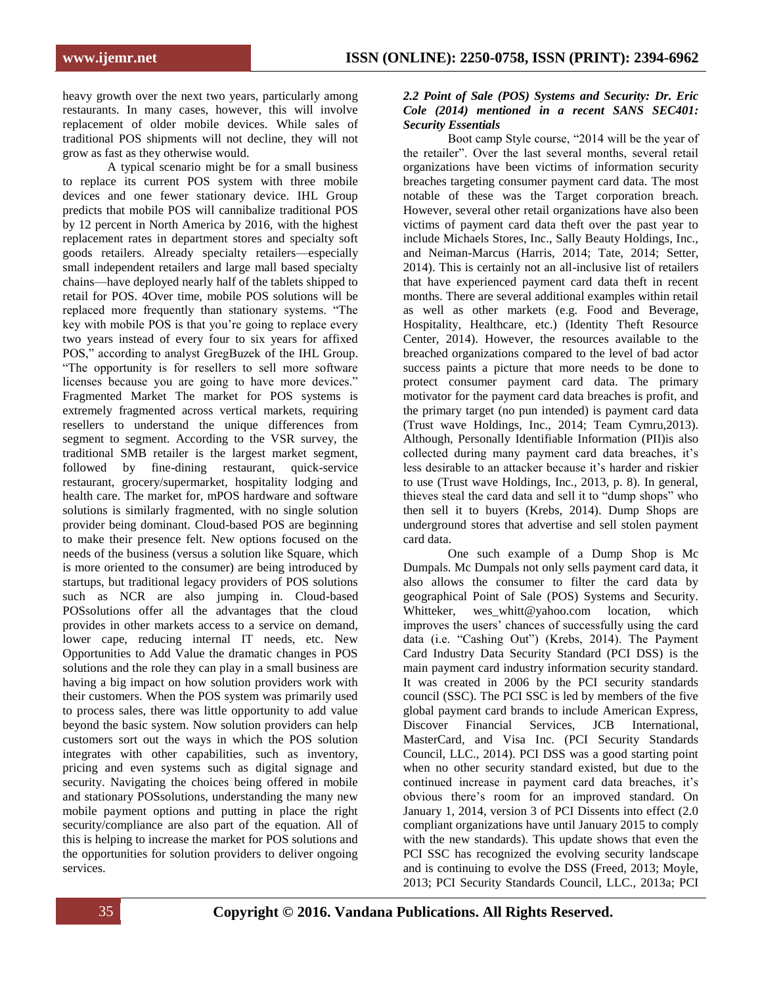heavy growth over the next two years, particularly among restaurants. In many cases, however, this will involve replacement of older mobile devices. While sales of traditional POS shipments will not decline, they will not grow as fast as they otherwise would.

A typical scenario might be for a small business to replace its current POS system with three mobile devices and one fewer stationary device. IHL Group predicts that mobile POS will cannibalize traditional POS by 12 percent in North America by 2016, with the highest replacement rates in department stores and specialty soft goods retailers. Already specialty retailers—especially small independent retailers and large mall based specialty chains—have deployed nearly half of the tablets shipped to retail for POS. 4Over time, mobile POS solutions will be replaced more frequently than stationary systems. "The key with mobile POS is that you're going to replace every two years instead of every four to six years for affixed POS," according to analyst GregBuzek of the IHL Group. ―The opportunity is for resellers to sell more software licenses because you are going to have more devices." Fragmented Market The market for POS systems is extremely fragmented across vertical markets, requiring resellers to understand the unique differences from segment to segment. According to the VSR survey, the traditional SMB retailer is the largest market segment, followed by fine-dining restaurant, quick-service restaurant, grocery/supermarket, hospitality lodging and health care. The market for, mPOS hardware and software solutions is similarly fragmented, with no single solution provider being dominant. Cloud-based POS are beginning to make their presence felt. New options focused on the needs of the business (versus a solution like Square, which is more oriented to the consumer) are being introduced by startups, but traditional legacy providers of POS solutions such as NCR are also jumping in. Cloud-based POSsolutions offer all the advantages that the cloud provides in other markets access to a service on demand, lower cape, reducing internal IT needs, etc. New Opportunities to Add Value the dramatic changes in POS solutions and the role they can play in a small business are having a big impact on how solution providers work with their customers. When the POS system was primarily used to process sales, there was little opportunity to add value beyond the basic system. Now solution providers can help customers sort out the ways in which the POS solution integrates with other capabilities, such as inventory, pricing and even systems such as digital signage and security. Navigating the choices being offered in mobile and stationary POSsolutions, understanding the many new mobile payment options and putting in place the right security/compliance are also part of the equation. All of this is helping to increase the market for POS solutions and the opportunities for solution providers to deliver ongoing services.

# *2.2 Point of Sale (POS) Systems and Security: Dr. Eric Cole (2014) mentioned in a recent SANS SEC401: Security Essentials*

Boot camp Style course, "2014 will be the year of the retailer". Over the last several months, several retail organizations have been victims of information security breaches targeting consumer payment card data. The most notable of these was the Target corporation breach. However, several other retail organizations have also been victims of payment card data theft over the past year to include Michaels Stores, Inc., Sally Beauty Holdings, Inc., and Neiman-Marcus (Harris, 2014; Tate, 2014; Setter, 2014). This is certainly not an all-inclusive list of retailers that have experienced payment card data theft in recent months. There are several additional examples within retail as well as other markets (e.g. Food and Beverage, Hospitality, Healthcare, etc.) (Identity Theft Resource Center, 2014). However, the resources available to the breached organizations compared to the level of bad actor success paints a picture that more needs to be done to protect consumer payment card data. The primary motivator for the payment card data breaches is profit, and the primary target (no pun intended) is payment card data (Trust wave Holdings, Inc., 2014; Team Cymru,2013). Although, Personally Identifiable Information (PII)is also collected during many payment card data breaches, it's less desirable to an attacker because it's harder and riskier to use (Trust wave Holdings, Inc., 2013, p. 8). In general, thieves steal the card data and sell it to "dump shops" who then sell it to buyers (Krebs, 2014). Dump Shops are underground stores that advertise and sell stolen payment card data.

One such example of a Dump Shop is Mc Dumpals. Mc Dumpals not only sells payment card data, it also allows the consumer to filter the card data by geographical Point of Sale (POS) Systems and Security. Whitteker, wes whitt@yahoo.com location, which improves the users' chances of successfully using the card data (i.e. "Cashing Out") (Krebs, 2014). The Payment Card Industry Data Security Standard (PCI DSS) is the main payment card industry information security standard. It was created in 2006 by the PCI security standards council (SSC). The PCI SSC is led by members of the five global payment card brands to include American Express, Discover Financial Services, JCB International, MasterCard, and Visa Inc. (PCI Security Standards Council, LLC., 2014). PCI DSS was a good starting point when no other security standard existed, but due to the continued increase in payment card data breaches, it's obvious there's room for an improved standard. On January 1, 2014, version 3 of PCI Dissents into effect (2.0 compliant organizations have until January 2015 to comply with the new standards). This update shows that even the PCI SSC has recognized the evolving security landscape and is continuing to evolve the DSS (Freed, 2013; Moyle, 2013; PCI Security Standards Council, LLC., 2013a; PCI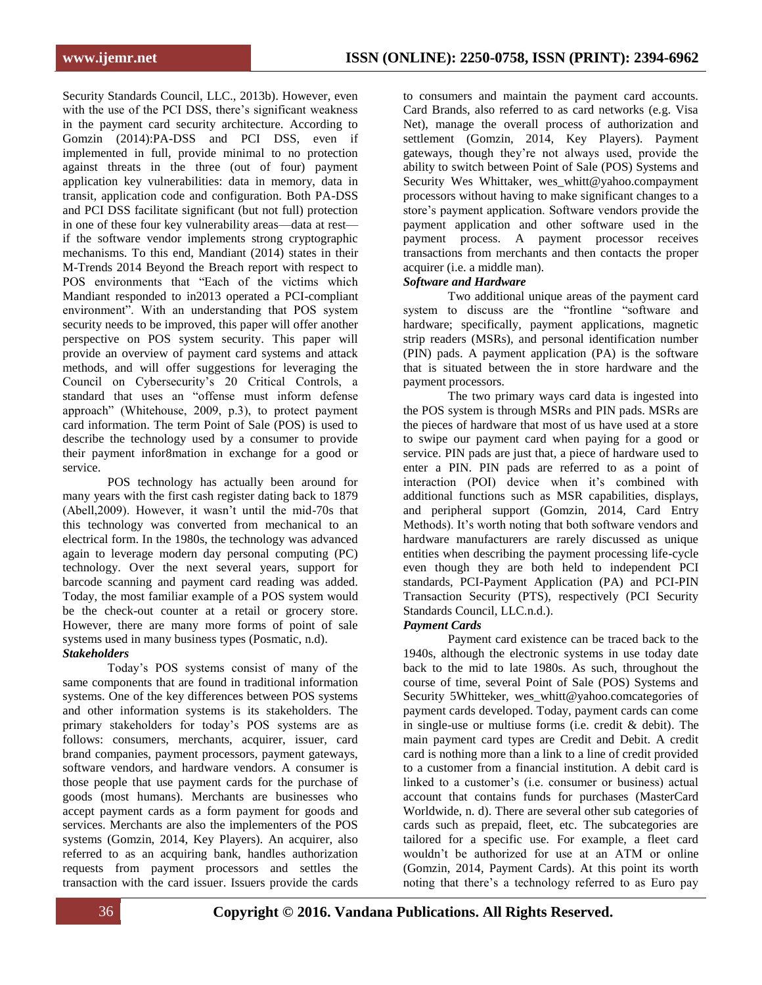Security Standards Council, LLC., 2013b). However, even with the use of the PCI DSS, there's significant weakness in the payment card security architecture. According to Gomzin (2014):PA-DSS and PCI DSS, even if implemented in full, provide minimal to no protection against threats in the three (out of four) payment application key vulnerabilities: data in memory, data in transit, application code and configuration. Both PA-DSS and PCI DSS facilitate significant (but not full) protection in one of these four key vulnerability areas—data at rest if the software vendor implements strong cryptographic mechanisms. To this end, Mandiant (2014) states in their M-Trends 2014 Beyond the Breach report with respect to POS environments that "Each of the victims which Mandiant responded to in2013 operated a PCI-compliant environment". With an understanding that POS system security needs to be improved, this paper will offer another perspective on POS system security. This paper will provide an overview of payment card systems and attack methods, and will offer suggestions for leveraging the Council on Cybersecurity's 20 Critical Controls, a standard that uses an "offense must inform defense approach" (Whitehouse, 2009, p.3), to protect payment card information. The term Point of Sale (POS) is used to describe the technology used by a consumer to provide their payment infor8mation in exchange for a good or service.

POS technology has actually been around for many years with the first cash register dating back to 1879 (Abell,2009). However, it wasn't until the mid-70s that this technology was converted from mechanical to an electrical form. In the 1980s, the technology was advanced again to leverage modern day personal computing (PC) technology. Over the next several years, support for barcode scanning and payment card reading was added. Today, the most familiar example of a POS system would be the check-out counter at a retail or grocery store. However, there are many more forms of point of sale systems used in many business types (Posmatic, n.d). *Stakeholders*

Today's POS systems consist of many of the same components that are found in traditional information systems. One of the key differences between POS systems and other information systems is its stakeholders. The primary stakeholders for today's POS systems are as follows: consumers, merchants, acquirer, issuer, card brand companies, payment processors, payment gateways, software vendors, and hardware vendors. A consumer is those people that use payment cards for the purchase of goods (most humans). Merchants are businesses who accept payment cards as a form payment for goods and services. Merchants are also the implementers of the POS systems (Gomzin, 2014, Key Players). An acquirer, also referred to as an acquiring bank, handles authorization requests from payment processors and settles the transaction with the card issuer. Issuers provide the cards to consumers and maintain the payment card accounts. Card Brands, also referred to as card networks (e.g. Visa Net), manage the overall process of authorization and settlement (Gomzin, 2014, Key Players). Payment gateways, though they're not always used, provide the ability to switch between Point of Sale (POS) Systems and Security Wes Whittaker, wes whitt@yahoo.compayment processors without having to make significant changes to a store's payment application. Software vendors provide the payment application and other software used in the payment process. A payment processor receives transactions from merchants and then contacts the proper acquirer (i.e. a middle man).

# *Software and Hardware*

Two additional unique areas of the payment card system to discuss are the "frontline "software and hardware; specifically, payment applications, magnetic strip readers (MSRs), and personal identification number (PIN) pads. A payment application (PA) is the software that is situated between the in store hardware and the payment processors.

The two primary ways card data is ingested into the POS system is through MSRs and PIN pads. MSRs are the pieces of hardware that most of us have used at a store to swipe our payment card when paying for a good or service. PIN pads are just that, a piece of hardware used to enter a PIN. PIN pads are referred to as a point of interaction (POI) device when it's combined with additional functions such as MSR capabilities, displays, and peripheral support (Gomzin, 2014, Card Entry Methods). It's worth noting that both software vendors and hardware manufacturers are rarely discussed as unique entities when describing the payment processing life-cycle even though they are both held to independent PCI standards, PCI-Payment Application (PA) and PCI-PIN Transaction Security (PTS), respectively (PCI Security Standards Council, LLC.n.d.).

# *Payment Cards*

Payment card existence can be traced back to the 1940s, although the electronic systems in use today date back to the mid to late 1980s. As such, throughout the course of time, several Point of Sale (POS) Systems and Security 5Whitteker, wes whitt@yahoo.comcategories of payment cards developed. Today, payment cards can come in single-use or multiuse forms (i.e. credit & debit). The main payment card types are Credit and Debit. A credit card is nothing more than a link to a line of credit provided to a customer from a financial institution. A debit card is linked to a customer's (i.e. consumer or business) actual account that contains funds for purchases (MasterCard Worldwide, n. d). There are several other sub categories of cards such as prepaid, fleet, etc. The subcategories are tailored for a specific use. For example, a fleet card wouldn't be authorized for use at an ATM or online (Gomzin, 2014, Payment Cards). At this point its worth noting that there's a technology referred to as Euro pay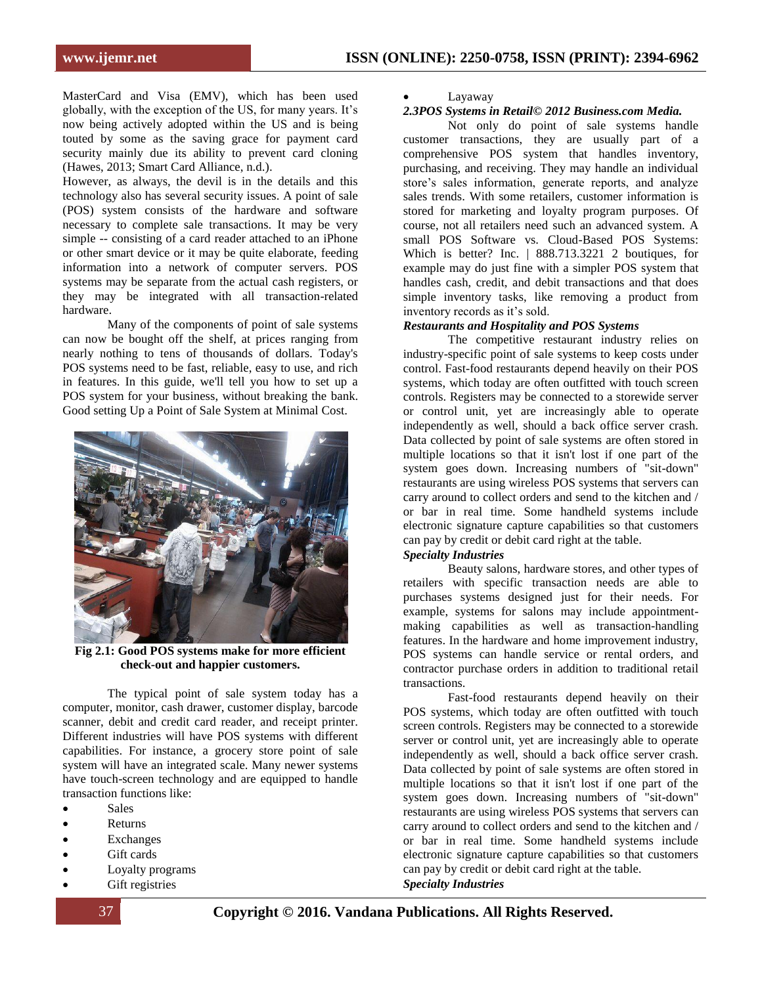MasterCard and Visa (EMV), which has been used globally, with the exception of the US, for many years. It's now being actively adopted within the US and is being touted by some as the saving grace for payment card security mainly due its ability to prevent card cloning (Hawes, 2013; Smart Card Alliance, n.d.).

However, as always, the devil is in the details and this technology also has several security issues. A point of sale (POS) system consists of the hardware and software necessary to complete sale transactions. It may be very simple -- consisting of a card reader attached to an iPhone or other smart device or it may be quite elaborate, feeding information into a network of computer servers. POS systems may be separate from the actual cash registers, or they may be integrated with all transaction-related hardware.

Many of the components of point of sale systems can now be bought off the shelf, at prices ranging from nearly nothing to tens of thousands of dollars. Today's POS systems need to be fast, reliable, easy to use, and rich in features. In this guide, we'll tell you how to set up a POS system for your business, without breaking the bank. Good setting Up a Point of Sale System at Minimal Cost.



**Fig 2.1: Good POS systems make for more efficient check-out and happier customers.**

The typical point of sale system today has a computer, monitor, cash drawer, customer display, barcode scanner, debit and credit card reader, and receipt printer. Different industries will have POS systems with different capabilities. For instance, a grocery store point of sale system will have an integrated scale. Many newer systems have touch-screen technology and are equipped to handle transaction functions like:

- Sales
- Returns
- Exchanges
- Gift cards
- Loyalty programs
- Gift registries

Layaway

#### *2.3POS Systems in Retail© 2012 Business.com Media.*

Not only do point of sale systems handle customer transactions, they are usually part of a comprehensive POS system that handles inventory, purchasing, and receiving. They may handle an individual store's sales information, generate reports, and analyze sales trends. With some retailers, customer information is stored for marketing and loyalty program purposes. Of course, not all retailers need such an advanced system. A small POS Software vs. Cloud-Based POS Systems: Which is better? Inc. | 888.713.3221 2 boutiques, for example may do just fine with a simpler POS system that handles cash, credit, and debit transactions and that does simple inventory tasks, like removing a product from inventory records as it's sold.

### *Restaurants and Hospitality and POS Systems*

The competitive restaurant industry relies on industry-specific point of sale systems to keep costs under control. Fast-food restaurants depend heavily on their POS systems, which today are often outfitted with touch screen controls. Registers may be connected to a storewide server or control unit, yet are increasingly able to operate independently as well, should a back office server crash. Data collected by point of sale systems are often stored in multiple locations so that it isn't lost if one part of the system goes down. Increasing numbers of "sit-down" restaurants are using wireless POS systems that servers can carry around to collect orders and send to the kitchen and / or bar in real time. Some handheld systems include electronic signature capture capabilities so that customers can pay by credit or debit card right at the table.

# *Specialty Industries*

Beauty salons, hardware stores, and other types of retailers with specific transaction needs are able to purchases systems designed just for their needs. For example, systems for salons may include appointmentmaking capabilities as well as transaction-handling features. In the hardware and home improvement industry, POS systems can handle service or rental orders, and contractor purchase orders in addition to traditional retail transactions.

Fast-food restaurants depend heavily on their POS systems, which today are often outfitted with touch screen controls. Registers may be connected to a storewide server or control unit, yet are increasingly able to operate independently as well, should a back office server crash. Data collected by point of sale systems are often stored in multiple locations so that it isn't lost if one part of the system goes down. Increasing numbers of "sit-down" restaurants are using wireless POS systems that servers can carry around to collect orders and send to the kitchen and / or bar in real time. Some handheld systems include electronic signature capture capabilities so that customers can pay by credit or debit card right at the table. *Specialty Industries*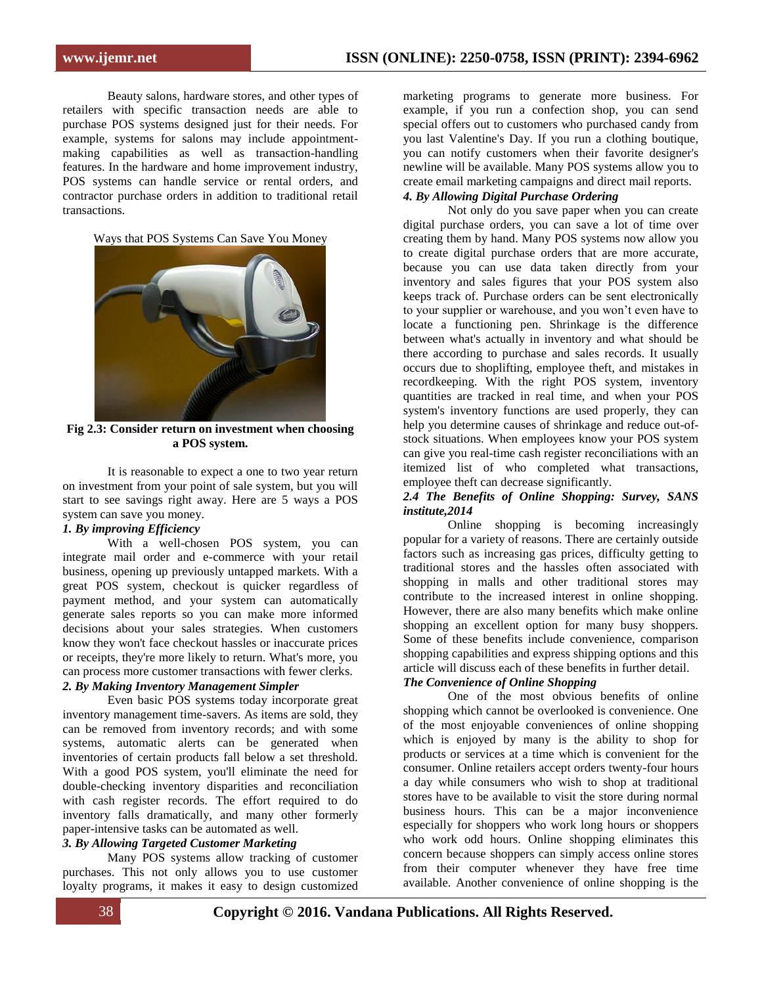Beauty salons, hardware stores, and other types of retailers with specific transaction needs are able to purchase POS systems designed just for their needs. For example, systems for salons may include appointmentmaking capabilities as well as transaction-handling features. In the hardware and home improvement industry, POS systems can handle service or rental orders, and contractor purchase orders in addition to traditional retail transactions.

Ways that POS Systems Can Save You Money



**Fig 2.3: Consider return on investment when choosing a POS system.**

It is reasonable to expect a one to two year return on investment from your point of sale system, but you will start to see savings right away. Here are 5 ways a POS system can save you money.

#### *1. By improving Efficiency*

With a well-chosen POS system, you can integrate mail order and e-commerce with your retail business, opening up previously untapped markets. With a great POS system, checkout is quicker regardless of payment method, and your system can automatically generate sales reports so you can make more informed decisions about your sales strategies. When customers know they won't face checkout hassles or inaccurate prices or receipts, they're more likely to return. What's more, you can process more customer transactions with fewer clerks.

# *2. By Making Inventory Management Simpler*

Even basic POS systems today incorporate great inventory management time-savers. As items are sold, they can be removed from inventory records; and with some systems, automatic alerts can be generated when inventories of certain products fall below a set threshold. With a good POS system, you'll eliminate the need for double-checking inventory disparities and reconciliation with cash register records. The effort required to do inventory falls dramatically, and many other formerly paper-intensive tasks can be automated as well.

# *3. By Allowing Targeted Customer Marketing*

Many POS systems allow tracking of customer purchases. This not only allows you to use customer loyalty programs, it makes it easy to design customized marketing programs to generate more business. For example, if you run a confection shop, you can send special offers out to customers who purchased candy from you last Valentine's Day. If you run a clothing boutique, you can notify customers when their favorite designer's newline will be available. Many POS systems allow you to create email marketing campaigns and direct mail reports.

# *4. By Allowing Digital Purchase Ordering*

Not only do you save paper when you can create digital purchase orders, you can save a lot of time over creating them by hand. Many POS systems now allow you to create digital purchase orders that are more accurate, because you can use data taken directly from your inventory and sales figures that your POS system also keeps track of. Purchase orders can be sent electronically to your supplier or warehouse, and you won't even have to locate a functioning pen. Shrinkage is the difference between what's actually in inventory and what should be there according to purchase and sales records. It usually occurs due to shoplifting, employee theft, and mistakes in recordkeeping. With the right POS system, inventory quantities are tracked in real time, and when your POS system's inventory functions are used properly, they can help you determine causes of shrinkage and reduce out-ofstock situations. When employees know your POS system can give you real-time cash register reconciliations with an itemized list of who completed what transactions, employee theft can decrease significantly.

### *2.4 The Benefits of Online Shopping: Survey, SANS institute,2014*

Online shopping is becoming increasingly popular for a variety of reasons. There are certainly outside factors such as increasing gas prices, difficulty getting to traditional stores and the hassles often associated with shopping in malls and other traditional stores may contribute to the increased interest in online shopping. However, there are also many benefits which make online shopping an excellent option for many busy shoppers. Some of these benefits include convenience, comparison shopping capabilities and express shipping options and this article will discuss each of these benefits in further detail.

# *The Convenience of Online Shopping*

One of the most obvious benefits of online shopping which cannot be overlooked is convenience. One of the most enjoyable conveniences of online shopping which is enjoyed by many is the ability to shop for products or services at a time which is convenient for the consumer. Online retailers accept orders twenty-four hours a day while consumers who wish to shop at traditional stores have to be available to visit the store during normal business hours. This can be a major inconvenience especially for shoppers who work long hours or shoppers who work odd hours. Online shopping eliminates this concern because shoppers can simply access online stores from their computer whenever they have free time available. Another convenience of online shopping is the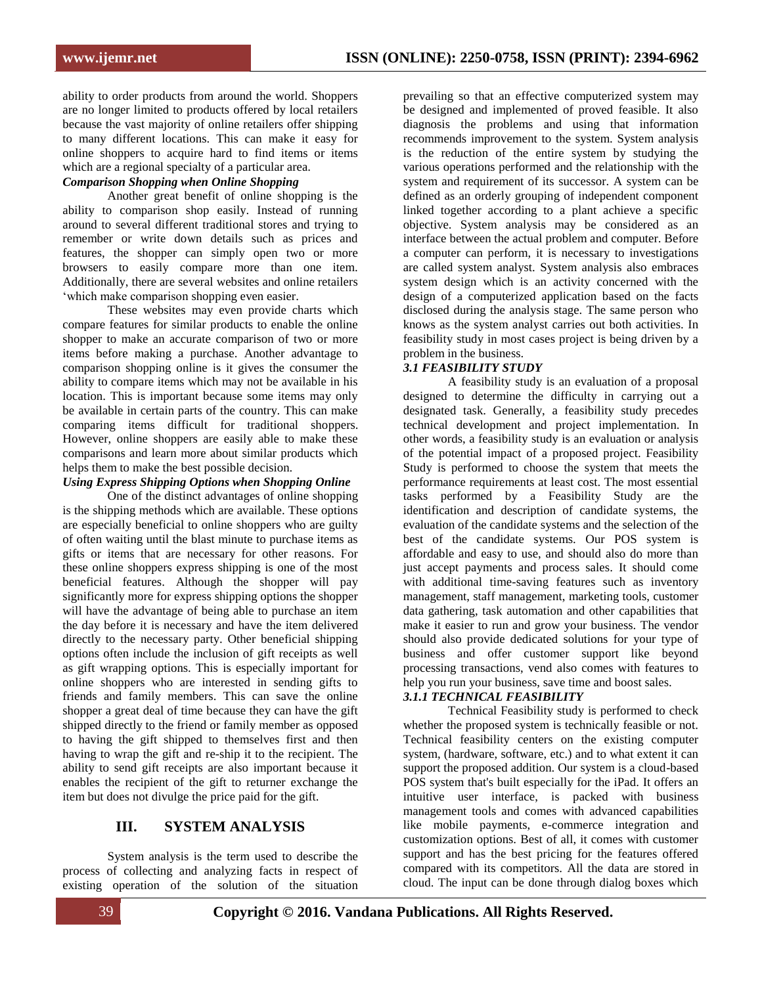ability to order products from around the world. Shoppers are no longer limited to products offered by local retailers because the vast majority of online retailers offer shipping to many different locations. This can make it easy for online shoppers to acquire hard to find items or items which are a regional specialty of a particular area.

# *Comparison Shopping when Online Shopping*

Another great benefit of online shopping is the ability to comparison shop easily. Instead of running around to several different traditional stores and trying to remember or write down details such as prices and features, the shopper can simply open two or more browsers to easily compare more than one item. Additionally, there are several websites and online retailers ‗which make comparison shopping even easier.

These websites may even provide charts which compare features for similar products to enable the online shopper to make an accurate comparison of two or more items before making a purchase. Another advantage to comparison shopping online is it gives the consumer the ability to compare items which may not be available in his location. This is important because some items may only be available in certain parts of the country. This can make comparing items difficult for traditional shoppers. However, online shoppers are easily able to make these comparisons and learn more about similar products which helps them to make the best possible decision.

#### *Using Express Shipping Options when Shopping Online*

One of the distinct advantages of online shopping is the shipping methods which are available. These options are especially beneficial to online shoppers who are guilty of often waiting until the blast minute to purchase items as gifts or items that are necessary for other reasons. For these online shoppers express shipping is one of the most beneficial features. Although the shopper will pay significantly more for express shipping options the shopper will have the advantage of being able to purchase an item the day before it is necessary and have the item delivered directly to the necessary party. Other beneficial shipping options often include the inclusion of gift receipts as well as gift wrapping options. This is especially important for online shoppers who are interested in sending gifts to friends and family members. This can save the online shopper a great deal of time because they can have the gift shipped directly to the friend or family member as opposed to having the gift shipped to themselves first and then having to wrap the gift and re-ship it to the recipient. The ability to send gift receipts are also important because it enables the recipient of the gift to returner exchange the item but does not divulge the price paid for the gift.

# **III. SYSTEM ANALYSIS**

System analysis is the term used to describe the process of collecting and analyzing facts in respect of existing operation of the solution of the situation prevailing so that an effective computerized system may be designed and implemented of proved feasible. It also diagnosis the problems and using that information recommends improvement to the system. System analysis is the reduction of the entire system by studying the various operations performed and the relationship with the system and requirement of its successor. A system can be defined as an orderly grouping of independent component linked together according to a plant achieve a specific objective. System analysis may be considered as an interface between the actual problem and computer. Before a computer can perform, it is necessary to investigations are called system analyst. System analysis also embraces system design which is an activity concerned with the design of a computerized application based on the facts disclosed during the analysis stage. The same person who knows as the system analyst carries out both activities. In feasibility study in most cases project is being driven by a problem in the business.

# *3.1 FEASIBILITY STUDY*

A feasibility study is an evaluation of a proposal designed to determine the difficulty in carrying out a designated task. Generally, a feasibility study precedes technical development and project implementation. In other words, a feasibility study is an evaluation or analysis of the potential impact of a proposed project. Feasibility Study is performed to choose the system that meets the performance requirements at least cost. The most essential tasks performed by a Feasibility Study are the identification and description of candidate systems, the evaluation of the candidate systems and the selection of the best of the candidate systems. Our POS system is affordable and easy to use, and should also do more than just accept payments and process sales. It should come with additional time-saving features such as inventory management, staff management, marketing tools, customer data gathering, task automation and other capabilities that make it easier to run and grow your business. The vendor should also provide dedicated solutions for your type of business and offer customer support like beyond processing transactions, vend also comes with features to help you run your business, save time and boost sales.

# *3.1.1 TECHNICAL FEASIBILITY*

Technical Feasibility study is performed to check whether the proposed system is technically feasible or not. Technical feasibility centers on the existing computer system, (hardware, software, etc.) and to what extent it can support the proposed addition. Our system is a cloud-based POS system that's built especially for the iPad. It offers an intuitive user interface, is packed with business management tools and comes with advanced capabilities like mobile payments, e-commerce integration and customization options. Best of all, it comes with customer support and has the best pricing for the features offered compared with its competitors. All the data are stored in cloud. The input can be done through dialog boxes which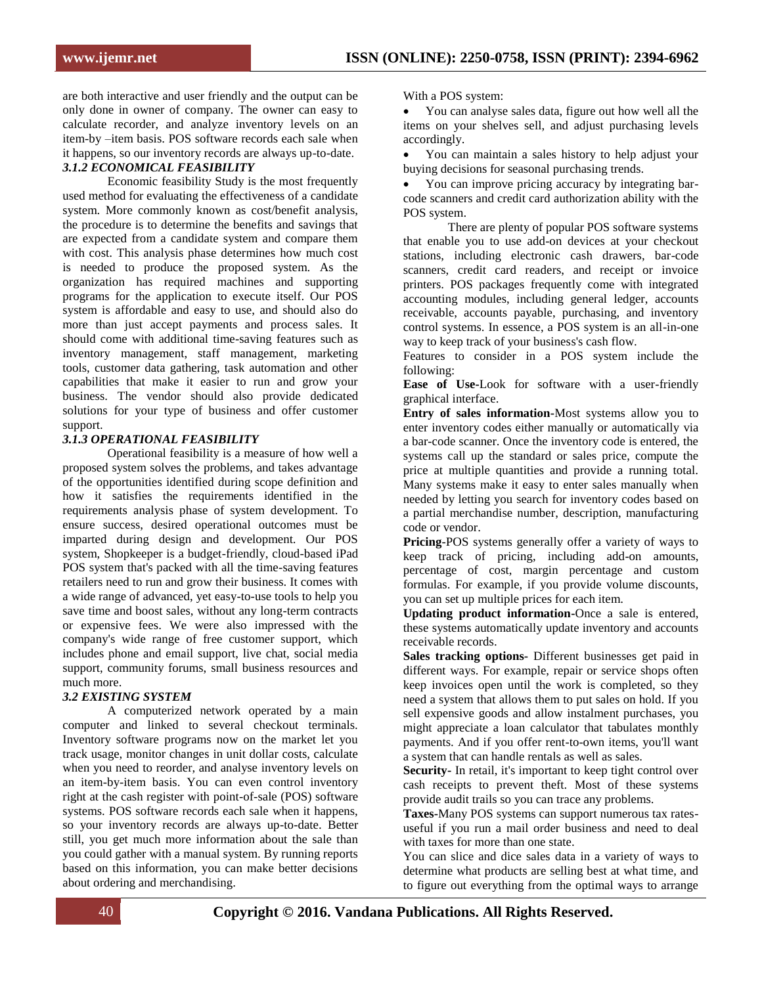are both interactive and user friendly and the output can be only done in owner of company. The owner can easy to calculate recorder, and analyze inventory levels on an item-by –item basis. POS software records each sale when it happens, so our inventory records are always up-to-date.

# *3.1.2 ECONOMICAL FEASIBILITY*

Economic feasibility Study is the most frequently used method for evaluating the effectiveness of a candidate system. More commonly known as cost/benefit analysis, the procedure is to determine the benefits and savings that are expected from a candidate system and compare them with cost. This analysis phase determines how much cost is needed to produce the proposed system. As the organization has required machines and supporting programs for the application to execute itself. Our POS system is affordable and easy to use, and should also do more than just accept payments and process sales. It should come with additional time-saving features such as inventory management, staff management, marketing tools, customer data gathering, task automation and other capabilities that make it easier to run and grow your business. The vendor should also provide dedicated solutions for your type of business and offer customer support.

# *3.1.3 OPERATIONAL FEASIBILITY*

Operational feasibility is a measure of how well a proposed system solves the problems, and takes advantage of the opportunities identified during scope definition and how it satisfies the requirements identified in the requirements analysis phase of system development. To ensure success, desired operational outcomes must be imparted during design and development. Our POS system, Shopkeeper is a budget-friendly, cloud-based iPad POS system that's packed with all the time-saving features retailers need to run and grow their business. It comes with a wide range of advanced, yet easy-to-use tools to help you save time and boost sales, without any long-term contracts or expensive fees. We were also impressed with the company's wide range of free customer support, which includes phone and email support, live chat, social media support, community forums, small business resources and much more.

# *3.2 EXISTING SYSTEM*

A computerized network operated by a main computer and linked to several checkout terminals. Inventory software programs now on the market let you track usage, monitor changes in unit dollar costs, calculate when you need to reorder, and analyse inventory levels on an item-by-item basis. You can even control inventory right at the cash register with point-of-sale (POS) software systems. POS software records each sale when it happens, so your inventory records are always up-to-date. Better still, you get much more information about the sale than you could gather with a manual system. By running reports based on this information, you can make better decisions about ordering and merchandising.

With a POS system:

 You can analyse sales data, figure out how well all the items on your shelves sell, and adjust purchasing levels accordingly.

 You can maintain a sales history to help adjust your buying decisions for seasonal purchasing trends.

 You can improve pricing accuracy by integrating barcode scanners and credit card authorization ability with the POS system.

There are plenty of popular POS software systems that enable you to use add-on devices at your checkout stations, including electronic cash drawers, bar-code scanners, credit card readers, and receipt or invoice printers. POS packages frequently come with integrated accounting modules, including general ledger, accounts receivable, accounts payable, purchasing, and inventory control systems. In essence, a POS system is an all-in-one way to keep track of your business's cash flow.

Features to consider in a POS system include the following:

**Ease of Use-**Look for software with a user-friendly graphical interface.

**Entry of sales information-**Most systems allow you to enter inventory codes either manually or automatically via a bar-code scanner. Once the inventory code is entered, the systems call up the standard or sales price, compute the price at multiple quantities and provide a running total. Many systems make it easy to enter sales manually when needed by letting you search for inventory codes based on a partial merchandise number, description, manufacturing code or vendor.

**Pricing**-POS systems generally offer a variety of ways to keep track of pricing, including add-on amounts, percentage of cost, margin percentage and custom formulas. For example, if you provide volume discounts, you can set up multiple prices for each item.

**Updating product information-**Once a sale is entered, these systems automatically update inventory and accounts receivable records.

**Sales tracking options-** Different businesses get paid in different ways. For example, repair or service shops often keep invoices open until the work is completed, so they need a system that allows them to put sales on hold. If you sell expensive goods and allow instalment purchases, you might appreciate a loan calculator that tabulates monthly payments. And if you offer rent-to-own items, you'll want a system that can handle rentals as well as sales.

**Security-** In retail, it's important to keep tight control over cash receipts to prevent theft. Most of these systems provide audit trails so you can trace any problems.

**Taxes-**Many POS systems can support numerous tax ratesuseful if you run a mail order business and need to deal with taxes for more than one state.

You can slice and dice sales data in a variety of ways to determine what products are selling best at what time, and to figure out everything from the optimal ways to arrange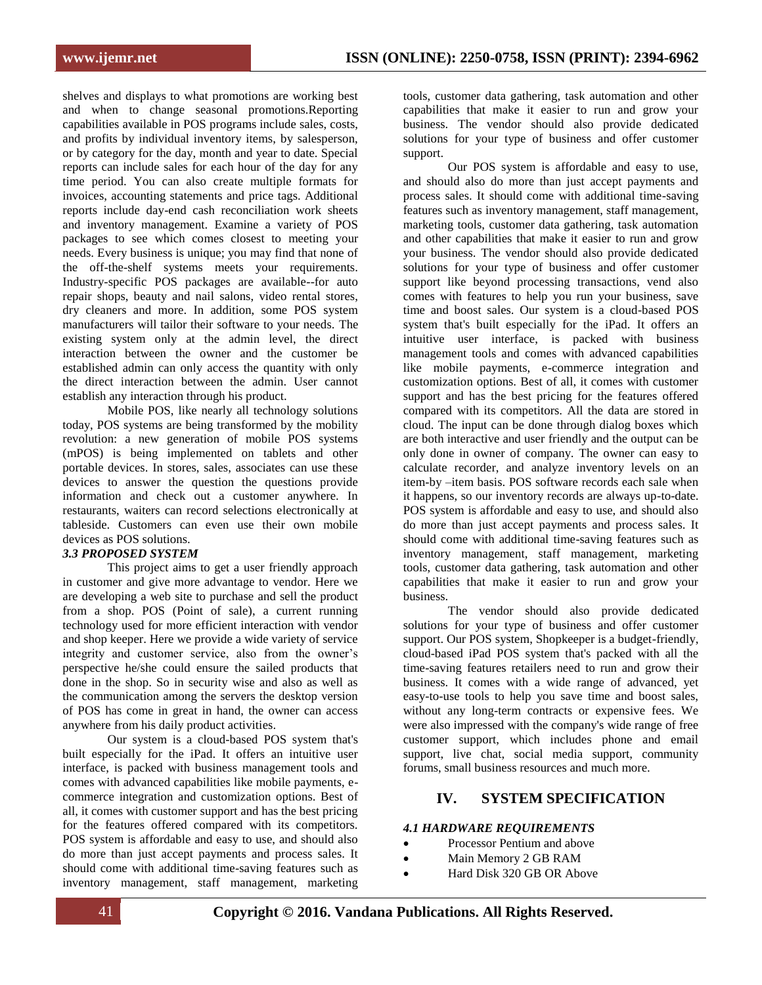shelves and displays to what promotions are working best and when to change seasonal promotions.Reporting capabilities available in POS programs include sales, costs, and profits by individual inventory items, by salesperson, or by category for the day, month and year to date. Special reports can include sales for each hour of the day for any time period. You can also create multiple formats for invoices, accounting statements and price tags. Additional reports include day-end cash reconciliation work sheets and inventory management. Examine a variety of POS packages to see which comes closest to meeting your needs. Every business is unique; you may find that none of the off-the-shelf systems meets your requirements. Industry-specific POS packages are available--for auto repair shops, beauty and nail salons, video rental stores, dry cleaners and more. In addition, some POS system manufacturers will tailor their software to your needs. The existing system only at the admin level, the direct interaction between the owner and the customer be established admin can only access the quantity with only the direct interaction between the admin. User cannot establish any interaction through his product.

Mobile POS, like nearly all technology solutions today, POS systems are being transformed by the mobility revolution: a new generation of mobile POS systems (mPOS) is being implemented on tablets and other portable devices. In stores, sales, associates can use these devices to answer the question the questions provide information and check out a customer anywhere. In restaurants, waiters can record selections electronically at tableside. Customers can even use their own mobile devices as POS solutions.

# *3.3 PROPOSED SYSTEM*

This project aims to get a user friendly approach in customer and give more advantage to vendor. Here we are developing a web site to purchase and sell the product from a shop. POS (Point of sale), a current running technology used for more efficient interaction with vendor and shop keeper. Here we provide a wide variety of service integrity and customer service, also from the owner's perspective he/she could ensure the sailed products that done in the shop. So in security wise and also as well as the communication among the servers the desktop version of POS has come in great in hand, the owner can access anywhere from his daily product activities.

Our system is a cloud-based POS system that's built especially for the iPad. It offers an intuitive user interface, is packed with business management tools and comes with advanced capabilities like mobile payments, ecommerce integration and customization options. Best of all, it comes with customer support and has the best pricing for the features offered compared with its competitors. POS system is affordable and easy to use, and should also do more than just accept payments and process sales. It should come with additional time-saving features such as inventory management, staff management, marketing tools, customer data gathering, task automation and other capabilities that make it easier to run and grow your business. The vendor should also provide dedicated solutions for your type of business and offer customer support.

Our POS system is affordable and easy to use, and should also do more than just accept payments and process sales. It should come with additional time-saving features such as inventory management, staff management, marketing tools, customer data gathering, task automation and other capabilities that make it easier to run and grow your business. The vendor should also provide dedicated solutions for your type of business and offer customer support like beyond processing transactions, vend also comes with features to help you run your business, save time and boost sales. Our system is a cloud-based POS system that's built especially for the iPad. It offers an intuitive user interface, is packed with business management tools and comes with advanced capabilities like mobile payments, e-commerce integration and customization options. Best of all, it comes with customer support and has the best pricing for the features offered compared with its competitors. All the data are stored in cloud. The input can be done through dialog boxes which are both interactive and user friendly and the output can be only done in owner of company. The owner can easy to calculate recorder, and analyze inventory levels on an item-by –item basis. POS software records each sale when it happens, so our inventory records are always up-to-date. POS system is affordable and easy to use, and should also do more than just accept payments and process sales. It should come with additional time-saving features such as inventory management, staff management, marketing tools, customer data gathering, task automation and other capabilities that make it easier to run and grow your business.

The vendor should also provide dedicated solutions for your type of business and offer customer support. Our POS system, Shopkeeper is a budget-friendly, cloud-based iPad POS system that's packed with all the time-saving features retailers need to run and grow their business. It comes with a wide range of advanced, yet easy-to-use tools to help you save time and boost sales, without any long-term contracts or expensive fees. We were also impressed with the company's wide range of free customer support, which includes phone and email support, live chat, social media support, community forums, small business resources and much more.

# **IV. SYSTEM SPECIFICATION**

### *4.1 HARDWARE REQUIREMENTS*

- Processor Pentium and above
- Main Memory 2 GB RAM
- Hard Disk 320 GB OR Above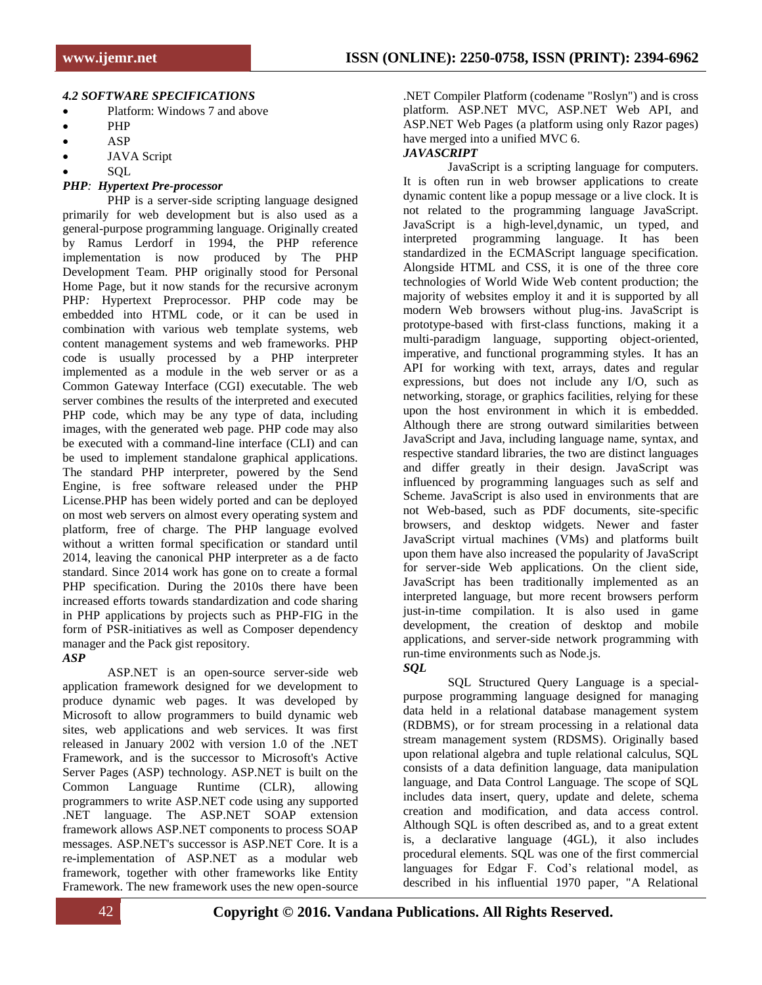# *4.2 SOFTWARE SPECIFICATIONS*

- Platform: Windows 7 and above
- $\bullet$  PHP
- ASP
- JAVA Script
- SQL

# *PHP: Hypertext Pre-processor*

PHP is a server-side scripting language designed primarily for web development but is also used as a general-purpose programming language. Originally created by Ramus Lerdorf in 1994, the PHP reference implementation is now produced by The PHP Development Team. PHP originally stood for Personal Home Page, but it now stands for the recursive acronym PHP*:* Hypertext Preprocessor. PHP code may be embedded into HTML code, or it can be used in combination with various web template systems, web content management systems and web frameworks. PHP code is usually processed by a PHP interpreter implemented as a module in the web server or as a Common Gateway Interface (CGI) executable. The web server combines the results of the interpreted and executed PHP code, which may be any type of data, including images, with the generated web page. PHP code may also be executed with a command-line interface (CLI) and can be used to implement standalone graphical applications. The standard PHP interpreter, powered by the Send Engine, is free software released under the PHP License.PHP has been widely ported and can be deployed on most web servers on almost every operating system and platform, free of charge. The PHP language evolved without a written formal specification or standard until 2014, leaving the canonical PHP interpreter as a de facto standard. Since 2014 work has gone on to create a formal PHP specification. During the 2010s there have been increased efforts towards standardization and code sharing in PHP applications by projects such as PHP-FIG in the form of PSR-initiatives as well as Composer dependency manager and the Pack gist repository.

# *ASP*

ASP.NET is an open-source server-side web application framework designed for we development to produce dynamic web pages. It was developed by Microsoft to allow programmers to build dynamic web sites, web applications and web services. It was first released in January 2002 with version 1.0 of the .NET Framework, and is the successor to Microsoft's Active Server Pages (ASP) technology. ASP.NET is built on the Common Language Runtime (CLR), allowing programmers to write ASP.NET code using any supported .NET language. The ASP.NET SOAP extension framework allows ASP.NET components to process SOAP messages. ASP.NET's successor is ASP.NET Core. It is a re-implementation of ASP.NET as a modular web framework, together with other frameworks like Entity Framework. The new framework uses the new open-source

.NET Compiler Platform (codename "Roslyn") and is cross platform. ASP.NET MVC, ASP.NET Web API, and ASP.NET Web Pages (a platform using only Razor pages) have merged into a unified MVC 6.

# *JAVASCRIPT*

JavaScript is a scripting language for computers. It is often run in web browser applications to create dynamic content like a popup message or a live clock. It is not related to the programming language JavaScript. JavaScript is a high-level,dynamic, un typed, and interpreted programming language. It has been standardized in the ECMAScript language specification. Alongside HTML and CSS, it is one of the three core technologies of World Wide Web content production; the majority of websites employ it and it is supported by all modern Web browsers without plug-ins. JavaScript is prototype-based with first-class functions, making it a multi-paradigm language, supporting object-oriented, imperative, and functional programming styles. It has an API for working with text, arrays, dates and regular expressions, but does not include any I/O, such as networking, storage, or graphics facilities, relying for these upon the host environment in which it is embedded. Although there are strong outward similarities between JavaScript and Java, including language name, syntax, and respective standard libraries, the two are distinct languages and differ greatly in their design. JavaScript was influenced by programming languages such as self and Scheme. JavaScript is also used in environments that are not Web-based, such as PDF documents, site-specific browsers, and desktop widgets. Newer and faster JavaScript virtual machines (VMs) and platforms built upon them have also increased the popularity of JavaScript for server-side Web applications. On the client side, JavaScript has been traditionally implemented as an interpreted language, but more recent browsers perform just-in-time compilation. It is also used in game development, the creation of desktop and mobile applications, and server-side network programming with run-time environments such as Node.js.

# *SQL*

SQL Structured Query Language is a specialpurpose programming language designed for managing data held in a relational database management system (RDBMS), or for stream processing in a relational data stream management system (RDSMS). Originally based upon relational algebra and tuple relational calculus, SQL consists of a data definition language, data manipulation language, and Data Control Language. The scope of SQL includes data insert, query, update and delete, schema creation and modification, and data access control. Although SQL is often described as, and to a great extent is, a declarative language (4GL), it also includes procedural elements. SQL was one of the first commercial languages for Edgar F. Cod's relational model, as described in his influential 1970 paper, "A Relational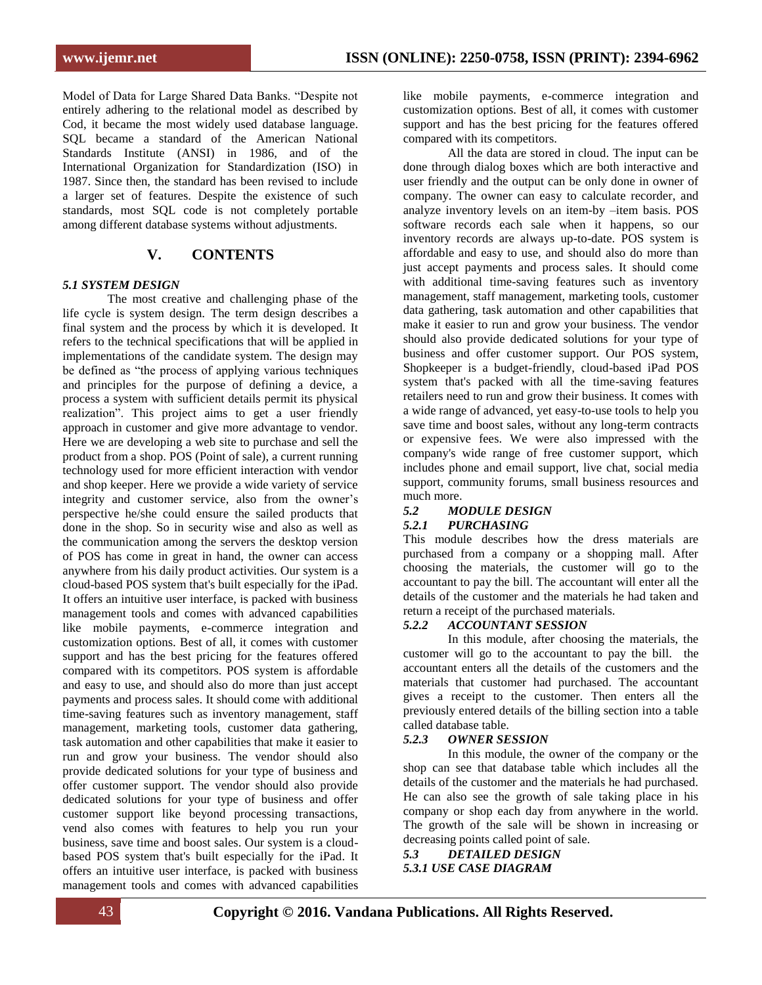Model of Data for Large Shared Data Banks. "Despite not entirely adhering to the relational model as described by Cod, it became the most widely used database language. SQL became a standard of the American National Standards Institute (ANSI) in 1986, and of the International Organization for Standardization (ISO) in 1987. Since then, the standard has been revised to include a larger set of features. Despite the existence of such standards, most SQL code is not completely portable among different database systems without adjustments.

# **V. CONTENTS**

#### *5.1 SYSTEM DESIGN*

The most creative and challenging phase of the life cycle is system design. The term design describes a final system and the process by which it is developed. It refers to the technical specifications that will be applied in implementations of the candidate system. The design may be defined as "the process of applying various techniques" and principles for the purpose of defining a device, a process a system with sufficient details permit its physical realization". This project aims to get a user friendly approach in customer and give more advantage to vendor. Here we are developing a web site to purchase and sell the product from a shop. POS (Point of sale), a current running technology used for more efficient interaction with vendor and shop keeper. Here we provide a wide variety of service integrity and customer service, also from the owner's perspective he/she could ensure the sailed products that done in the shop. So in security wise and also as well as the communication among the servers the desktop version of POS has come in great in hand, the owner can access anywhere from his daily product activities. Our system is a cloud-based POS system that's built especially for the iPad. It offers an intuitive user interface, is packed with business management tools and comes with advanced capabilities like mobile payments, e-commerce integration and customization options. Best of all, it comes with customer support and has the best pricing for the features offered compared with its competitors. POS system is affordable and easy to use, and should also do more than just accept payments and process sales. It should come with additional time-saving features such as inventory management, staff management, marketing tools, customer data gathering, task automation and other capabilities that make it easier to run and grow your business. The vendor should also provide dedicated solutions for your type of business and offer customer support. The vendor should also provide dedicated solutions for your type of business and offer customer support like beyond processing transactions, vend also comes with features to help you run your business, save time and boost sales. Our system is a cloudbased POS system that's built especially for the iPad. It offers an intuitive user interface, is packed with business management tools and comes with advanced capabilities

like mobile payments, e-commerce integration and customization options. Best of all, it comes with customer support and has the best pricing for the features offered compared with its competitors.

All the data are stored in cloud. The input can be done through dialog boxes which are both interactive and user friendly and the output can be only done in owner of company. The owner can easy to calculate recorder, and analyze inventory levels on an item-by –item basis. POS software records each sale when it happens, so our inventory records are always up-to-date. POS system is affordable and easy to use, and should also do more than just accept payments and process sales. It should come with additional time-saving features such as inventory management, staff management, marketing tools, customer data gathering, task automation and other capabilities that make it easier to run and grow your business. The vendor should also provide dedicated solutions for your type of business and offer customer support. Our POS system, Shopkeeper is a budget-friendly, cloud-based iPad POS system that's packed with all the time-saving features retailers need to run and grow their business. It comes with a wide range of advanced, yet easy-to-use tools to help you save time and boost sales, without any long-term contracts or expensive fees. We were also impressed with the company's wide range of free customer support, which includes phone and email support, live chat, social media support, community forums, small business resources and much more.

# *5.2 MODULE DESIGN*

# *5.2.1 PURCHASING*

This module describes how the dress materials are purchased from a company or a shopping mall. After choosing the materials, the customer will go to the accountant to pay the bill. The accountant will enter all the details of the customer and the materials he had taken and return a receipt of the purchased materials.

# *5.2.2 ACCOUNTANT SESSION*

In this module, after choosing the materials, the customer will go to the accountant to pay the bill. the accountant enters all the details of the customers and the materials that customer had purchased. The accountant gives a receipt to the customer. Then enters all the previously entered details of the billing section into a table called database table.

# *5.2.3 OWNER SESSION*

In this module, the owner of the company or the shop can see that database table which includes all the details of the customer and the materials he had purchased. He can also see the growth of sale taking place in his company or shop each day from anywhere in the world. The growth of the sale will be shown in increasing or decreasing points called point of sale.

*5.3 DETAILED DESIGN 5.3.1 USE CASE DIAGRAM*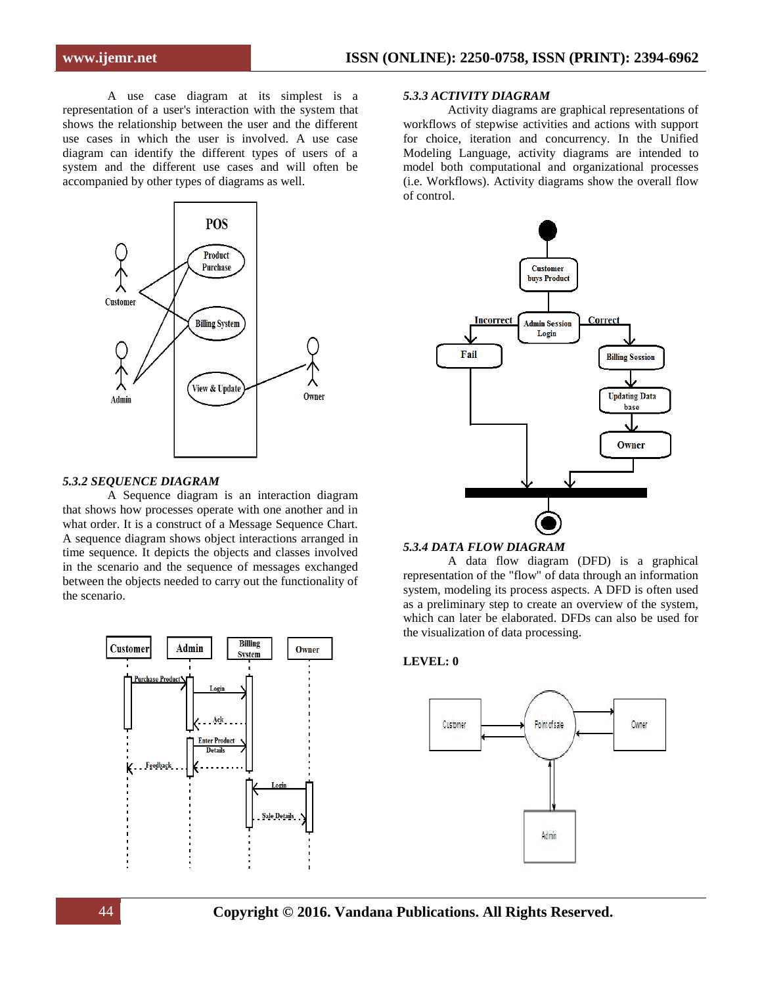A use case diagram at its simplest is a representation of a user's interaction with the system that shows the relationship between the user and the different use cases in which the user is involved. A use case diagram can identify the different types of users of a system and the different use cases and will often be accompanied by other types of diagrams as well.



#### *5.3.2 SEQUENCE DIAGRAM*

A Sequence diagram is an interaction diagram that shows how processes operate with one another and in what order. It is a construct of a Message Sequence Chart. A sequence diagram shows object interactions arranged in time sequence. It depicts the objects and classes involved in the scenario and the sequence of messages exchanged between the objects needed to carry out the functionality of the scenario.



#### *5.3.3 ACTIVITY DIAGRAM*

Activity diagrams are graphical representations of workflows of stepwise activities and actions with support for choice, iteration and concurrency. In the Unified Modeling Language, activity diagrams are intended to model both computational and organizational processes (i.e. Workflows). Activity diagrams show the overall flow of control.



#### *5.3.4 DATA FLOW DIAGRAM*

A data flow diagram (DFD) is a graphical representation of the "flow" of data through an information system, modeling its process aspects. A DFD is often used as a preliminary step to create an overview of the system, which can later be elaborated. DFDs can also be used for the visualization of data processing.

#### **LEVEL: 0**

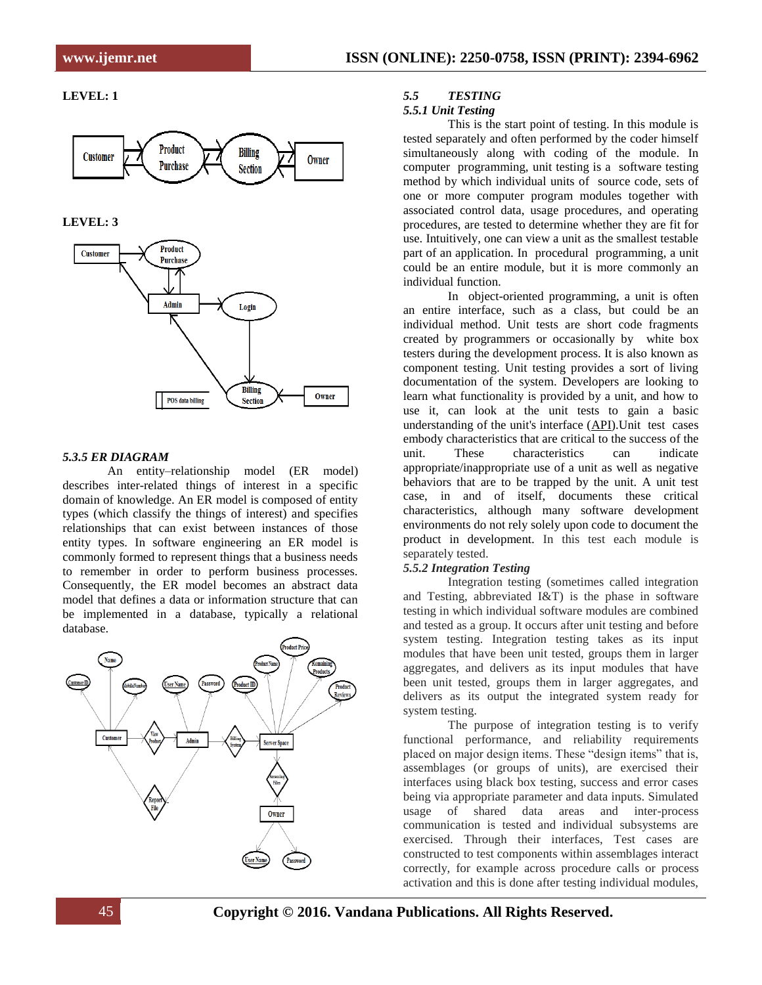### **LEVEL: 1**



#### **LEVEL: 3**



#### *5.3.5 ER DIAGRAM*

An entity–relationship model (ER model) describes inter-related things of interest in a specific domain of knowledge. An ER model is composed of entity types (which classify the things of interest) and specifies relationships that can exist between instances of those entity types. In software engineering an ER model is commonly formed to represent things that a business needs to remember in order to perform business processes. Consequently, the ER model becomes an abstract data model that defines a data or information structure that can be implemented in a database, typically a relational database.



#### *5.5 TESTING*

#### *5.5.1 Unit Testing*

This is the start point of testing. In this module is tested separately and often performed by the coder himself simultaneously along with coding of the module. In [computer programming,](http://en.wikipedia.org/wiki/Computer_programming) unit testing is a [software testing](http://en.wikipedia.org/wiki/Software_testing) method by which individual units of [source code,](http://en.wikipedia.org/wiki/Source_code) sets of one or more computer program modules together with associated control data, usage procedures, and operating procedures, are tested to determine whether they are fit for use. Intuitively, one can view a unit as the smallest testable part of an application. In [procedural programming,](http://en.wikipedia.org/wiki/Procedural_programming) a unit could be an entire module, but it is more commonly an individual function.

In [object-oriented programming,](http://en.wikipedia.org/wiki/Object-oriented_programming) a unit is often an entire interface, such as a class, but could be an individual method. Unit tests are short code fragments created by programmers or occasionally by [white box](http://en.wikipedia.org/wiki/White-box_testing)  [testers](http://en.wikipedia.org/wiki/White-box_testing) during the development process. It is also known as component testing. Unit testing provides a sort of living documentation of the system. Developers are looking to learn what functionality is provided by a unit, and how to use it, can look at the unit tests to gain a basic understanding of the unit's interface [\(API](http://en.wikipedia.org/wiki/Application_programming_interface)). Unit [test cases](http://en.wikipedia.org/wiki/Test_case) embody characteristics that are critical to the success of the unit. These characteristics can indicate appropriate/inappropriate use of a unit as well as negative behaviors that are to be trapped by the unit. A unit test case, in and of itself, documents these critical characteristics, although many software development environments do not rely solely upon code to document the product in development. In this test each module is separately tested.

#### *5.5.2 Integration Testing*

Integration testing (sometimes called integration and Testing, abbreviated I&T) is the phase in software testing in which individual software modules are combined and tested as a group. It occurs after unit testing and before system testing. Integration testing takes as its input modules that have been unit tested, groups them in larger aggregates, and delivers as its input modules that have been unit tested, groups them in larger aggregates, and delivers as its output the integrated system ready for system testing.

The purpose of integration testing is to verify functional performance, and reliability requirements placed on major design items. These "design items" that is, assemblages (or groups of units), are exercised their interfaces using black box testing, success and error cases being via appropriate parameter and data inputs. Simulated usage of shared data areas and inter-process communication is tested and individual subsystems are exercised. Through their interfaces, Test cases are constructed to test components within assemblages interact correctly, for example across procedure calls or process activation and this is done after testing individual modules,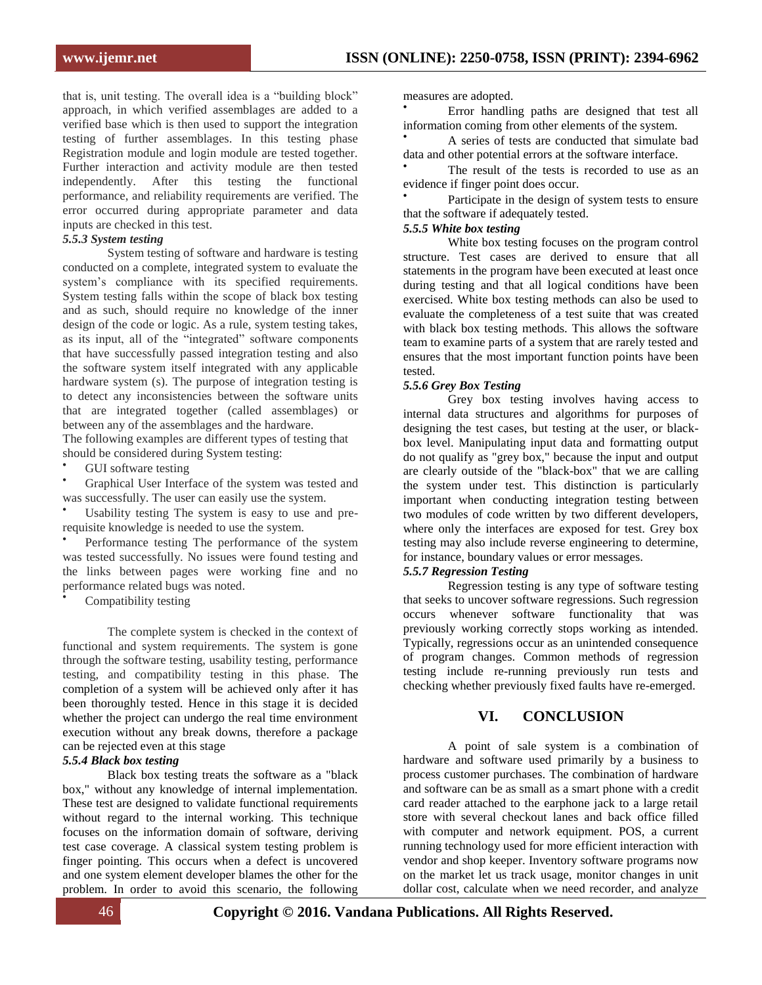that is, unit testing. The overall idea is a "building block" approach, in which verified assemblages are added to a verified base which is then used to support the integration testing of further assemblages. In this testing phase Registration module and login module are tested together. Further interaction and activity module are then tested independently. After this testing the functional performance, and reliability requirements are verified. The error occurred during appropriate parameter and data inputs are checked in this test.

#### *5.5.3 System testing*

System testing of software and hardware is testing conducted on a complete, integrated system to evaluate the system's compliance with its specified requirements. System testing falls within the scope of black box testing and as such, should require no knowledge of the inner design of the code or logic. As a rule, system testing takes, as its input, all of the "integrated" software components that have successfully passed integration testing and also the software system itself integrated with any applicable hardware system (s). The purpose of integration testing is to detect any inconsistencies between the software units that are integrated together (called assemblages) or between any of the assemblages and the hardware.

The following examples are different types of testing that should be considered during System testing:

GUI software testing

 Graphical User Interface of the system was tested and was successfully. The user can easily use the system.

 Usability testing The system is easy to use and prerequisite knowledge is needed to use the system.

 $\bullet$ Performance testing The performance of the system was tested successfully. No issues were found testing and the links between pages were working fine and no performance related bugs was noted.

Compatibility testing

The complete system is checked in the context of functional and system requirements. The system is gone through the software testing, usability testing, performance testing, and compatibility testing in this phase. The completion of a system will be achieved only after it has been thoroughly tested. Hence in this stage it is decided whether the project can undergo the real time environment execution without any break downs, therefore a package can be rejected even at this stage

#### *5.5.4 Black box testing*

Black box testing treats the software as a "black box," without any knowledge of internal implementation. These test are designed to validate functional requirements without regard to the internal working. This technique focuses on the information domain of software, deriving test case coverage. A classical system testing problem is finger pointing. This occurs when a defect is uncovered and one system element developer blames the other for the problem. In order to avoid this scenario, the following

measures are adopted.

 Error handling paths are designed that test all information coming from other elements of the system.

 A series of tests are conducted that simulate bad data and other potential errors at the software interface.

 The result of the tests is recorded to use as an evidence if finger point does occur.

 $\bullet$ Participate in the design of system tests to ensure that the software if adequately tested.

#### *5.5.5 White box testing*

White box testing focuses on the program control structure. Test cases are derived to ensure that all statements in the program have been executed at least once during testing and that all logical conditions have been exercised. White box testing methods can also be used to evaluate the completeness of a test suite that was created with black box testing methods. This allows the software team to examine parts of a system that are rarely tested and ensures that the most important function points have been tested.

#### *5.5.6 Grey Box Testing*

Grey box testing involves having access to internal data structures and algorithms for purposes of designing the test cases, but testing at the user, or blackbox level. Manipulating input data and formatting output do not qualify as "grey box," because the input and output are clearly outside of the "black-box" that we are calling the system under test. This distinction is particularly important when conducting integration testing between two modules of code written by two different developers, where only the interfaces are exposed for test. Grey box testing may also include reverse engineering to determine, for instance, boundary values or error messages.

#### *5.5.7 Regression Testing*

Regression testing is any type of software testing that seeks to uncover software regressions. Such regression occurs whenever software functionality that was previously working correctly stops working as intended. Typically, regressions occur as an unintended consequence of program changes. Common methods of regression testing include re-running previously run tests and checking whether previously fixed faults have re-emerged.

# **VI. CONCLUSION**

A point of sale system is a combination of hardware and software used primarily by a business to process customer purchases. The combination of hardware and software can be as small as a smart phone with a credit card reader attached to the earphone jack to a large retail store with several checkout lanes and back office filled with computer and network equipment. POS, a current running technology used for more efficient interaction with vendor and shop keeper. Inventory software programs now on the market let us track usage, monitor changes in unit dollar cost, calculate when we need recorder, and analyze